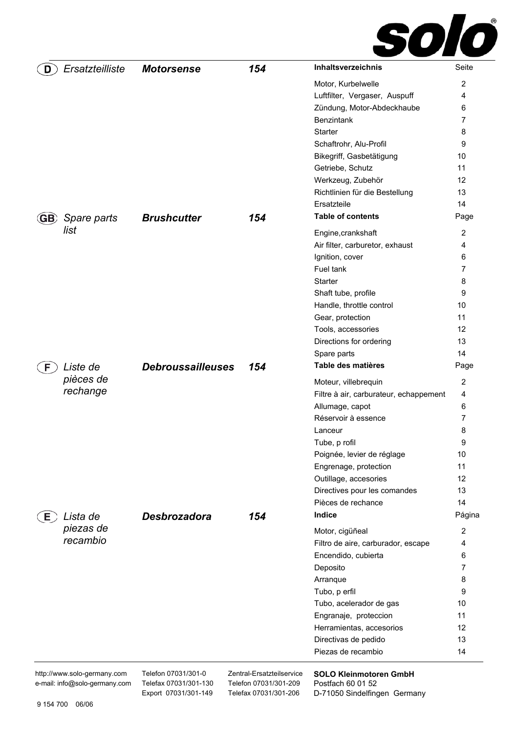

| Ersatzteilliste<br>D | <b>Motorsense</b>        | 154 | Inhaltsverzeichnis                     | Seite      |
|----------------------|--------------------------|-----|----------------------------------------|------------|
|                      |                          |     | Motor, Kurbelwelle                     | 2          |
|                      |                          |     | Luftfilter, Vergaser, Auspuff          | 4          |
|                      |                          |     | Zündung, Motor-Abdeckhaube             | 6          |
|                      |                          |     | Benzintank                             | 7          |
|                      |                          |     | Starter                                | 8          |
|                      |                          |     | Schaftrohr, Alu-Profil                 | 9          |
|                      |                          |     | Bikegriff, Gasbetätigung               | 10         |
|                      |                          |     | Getriebe, Schutz                       | 11         |
|                      |                          |     | Werkzeug, Zubehör                      | 12         |
|                      |                          |     | Richtlinien für die Bestellung         | 13         |
|                      |                          |     | Ersatzteile                            | 14         |
| Spare parts<br>GB,   | <b>Brushcutter</b>       | 154 | <b>Table of contents</b>               | Page       |
| list                 |                          |     | Engine, crankshaft                     | 2          |
|                      |                          |     | Air filter, carburetor, exhaust        | 4          |
|                      |                          |     | Ignition, cover                        | 6          |
|                      |                          |     | Fuel tank                              | 7          |
|                      |                          |     | <b>Starter</b>                         | 8          |
|                      |                          |     | Shaft tube, profile                    | 9          |
|                      |                          |     | Handle, throttle control               | 10         |
|                      |                          |     | Gear, protection                       | 11         |
|                      |                          |     | Tools, accessories                     | 12         |
|                      |                          |     | Directions for ordering                | 13         |
|                      |                          |     | Spare parts                            | 14         |
| Liste de<br>F.       | <b>Debroussailleuses</b> | 154 | Table des matières                     | Page       |
| pièces de            |                          |     | Moteur, villebrequin                   | 2          |
| rechange             |                          |     | Filtre à air, carburateur, echappement | 4          |
|                      |                          |     | Allumage, capot                        | 6          |
|                      |                          |     | Réservoir à essence                    | 7          |
|                      |                          |     | Lanceur                                | 8          |
|                      |                          |     | Tube, p rofil                          | 9          |
|                      |                          |     | Poignée, levier de réglage             | 10         |
|                      |                          |     | Engrenage, protection                  | 11         |
|                      |                          |     | Outillage, accesories                  | 12         |
|                      |                          |     | Directives pour les comandes           | 13         |
|                      |                          |     | Pièces de rechance                     | 14         |
| Lista de<br>Е.       | <b>Desbrozadora</b>      | 154 | Indice                                 | Página     |
| piezas de            |                          |     | Motor, cigüñeal                        | $\sqrt{2}$ |
| recambio             |                          |     | Filtro de aire, carburador, escape     | 4          |
|                      |                          |     | Encendido, cubierta                    | 6          |
|                      |                          |     | Deposito                               | 7          |
|                      |                          |     | Arranque                               | 8          |
|                      |                          |     | Tubo, p erfil                          | 9          |
|                      |                          |     | Tubo, acelerador de gas                | 10         |
|                      |                          |     | Engranaje, proteccion                  | 11         |
|                      |                          |     | Herramientas, accesorios               | 12         |
|                      |                          |     | Directivas de pedido                   | 13         |
|                      |                          |     | Piezas de recambio                     | 14         |
|                      |                          |     |                                        |            |

http://www.solo-germany.com e-mail: info@solo-germany.com Telefon 07031/301-0 Telefax 07031/301-130 Export 07031/301-149 Zentral-Ersatzteilservice Telefon 07031/301-209 Telefax 07031/301-206

**SOLO Kleinmotoren GmbH**  Postfach 60 01 52 D-71050 Sindelfingen Germany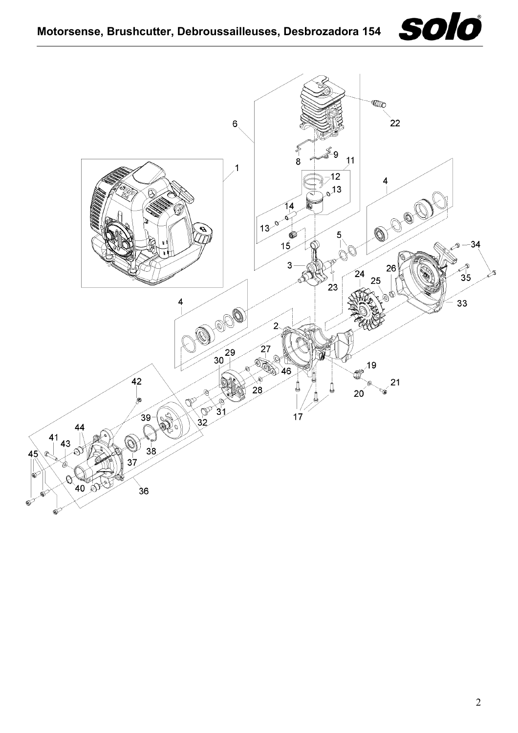

<span id="page-1-0"></span>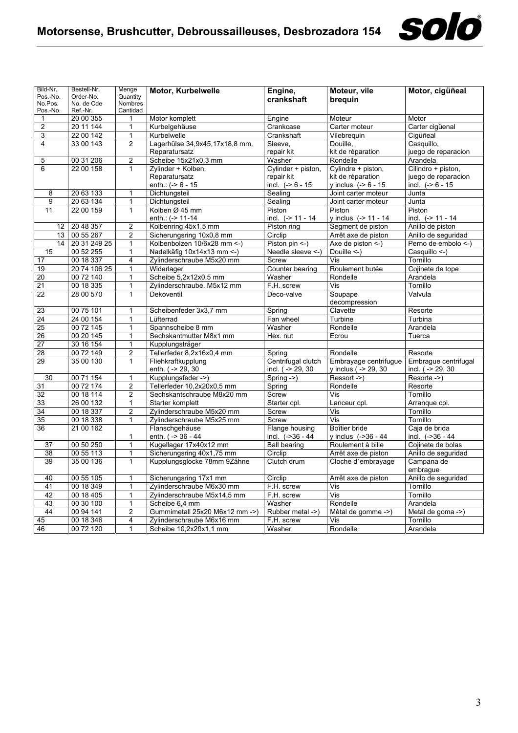

| Bild-Nr.                | Bestell-Nr.            | Menge               | Motor, Kurbelwelle             | Engine,             | Moteur, vile              | Motor, cigüñeal      |
|-------------------------|------------------------|---------------------|--------------------------------|---------------------|---------------------------|----------------------|
| Pos.-No.                | Order-No.              | Quantity            |                                | crankshaft          | brequin                   |                      |
| No.Pos.<br>Pos.-No.     | No. de Cde<br>Ref.-Nr. | Nombres<br>Cantidad |                                |                     |                           |                      |
| 1                       | 20 00 355              | 1                   | Motor komplett                 | Engine              | Moteur                    | Motor                |
| $\overline{\mathbf{c}}$ | 20 11 144              | 1                   | Kurbelgehäuse                  | Crankcase           | Carter moteur             | Carter cigüenal      |
| 3                       | 22 00 142              | $\mathbf{1}$        | Kurbelwelle                    | Crankshaft          | Vilebreguin               | Cigüñeal             |
| 4                       | 33 00 143              | $\overline{2}$      | Lagerhülse 34,9x45,17x18,8 mm, | Sleeve.             | Douille.                  | Casquillo,           |
|                         |                        |                     | Reparatursatz                  | repair kit          | kit de réparation         | juego de reparacion  |
| 5                       | 00 31 206              | $\overline{2}$      | Scheibe 15x21x0,3 mm           | Washer              | Rondelle                  | Arandela             |
| 6                       | 22 00 158              | 1                   | Zylinder + Kolben,             | Cylinder + piston,  | Cylindre + piston,        | Cilindro + piston,   |
|                         |                        |                     | Reparatursatz                  | repair kit          | kit de réparation         | juego de reparacion  |
|                         |                        |                     | enth.: $(-8)$ 6 - 15           | incl. $(-8)$ 6 - 15 | y inclus $(-8 - 15)$      | incl. $(-86 - 15)$   |
| 8                       | 20 63 133              | 1                   | Dichtungsteil                  | Sealing             | Joint carter moteur       | Junta                |
| 9                       | 20 63 134              | $\mathbf{1}$        | Dichtungsteil                  | Sealing             | Joint carter moteur       | Junta                |
| 11                      | 22 00 159              | $\mathbf{1}$        | Kolben Ø 45 mm                 | Piston              | Piston                    | Piston               |
|                         |                        |                     | enth.: (-> 11-14               | incl. $(-511 - 14)$ | y inclus (-> 11 - 14      | incl. $(-> 11 - 14$  |
| 12                      | 20 48 357              | $\overline{2}$      | Kolbenring 45x1,5 mm           | Piston ring         | Segment de piston         | Anillo de piston     |
| 13                      | 00 55 267              | $\overline{2}$      | Sicherungsring 10x0,8 mm       | Circlip             | Arrêt axe de piston       | Anillo de seguridad  |
| 14                      | 20 31 249 25           | 1                   | Kolbenbolzen 10/6x28 mm <- )   | Piston pin <- )     | Axe de piston <-)         | Perno de embolo <-)  |
| 15                      | 00 52 255              | $\mathbf{1}$        | Nadelkäfig 10x14x13 mm <- )    | Needle sleeve <-)   | Douille <-)               | Casquillo <-)        |
| 17                      | 00 18 337              | $\overline{4}$      | Zylinderschraube M5x20 mm      | Screw               | Vis                       | Tornillo             |
| 19                      | 20 74 106 25           | $\mathbf{1}$        | Widerlager                     | Counter bearing     | Roulement butée           | Cojinete de tope     |
| 20                      | 00 72 140              | 1                   | Scheibe 5,2x12x0,5 mm          | Washer              | Rondelle                  | Arandela             |
| $\overline{21}$         | 00 18 335              | 1                   | Zylinderschraube. M5x12 mm     | F.H. screw          | Vis                       | Tornillo             |
| 22                      | 28 00 570              | 1                   | Dekoventil                     | Deco-valve          | Soupape                   | Valvula              |
|                         |                        |                     |                                |                     | decompression             |                      |
| 23                      | 00 75 101              | $\mathbf{1}$        | Scheibenfeder 3x3,7 mm         | Spring              | Clavette                  | Resorte              |
| 24                      | 24 00 154              | 1                   | Lüfterrad                      | Fan wheel           | Turbine                   | Turbina              |
| 25                      | 00 72 145              | $\mathbf{1}$        | Spannscheibe 8 mm              | Washer              | Rondelle                  | Arandela             |
| 26                      | 00 20 145              | 1                   | Sechskantmutter M8x1 mm        | Hex. nut            | Ecrou                     | Tuerca               |
| 27                      | 30 16 154              | 1                   | Kupplungsträger                |                     |                           |                      |
| 28                      | 00 72 149              | $\overline{2}$      | Tellerfeder 8,2x16x0,4 mm      | Spring              | Rondelle                  | Resorte              |
| 29                      | 35 00 130              | $\mathbf{1}$        | Fliehkraftkupplung             | Centrifugal clutch  | Embrayage centrifugue     | Embrague centrifugal |
|                         |                        |                     | enth. ( -> 29, 30              | incl. ( -> 29, 30   | y inclus ( -> 29, 30      | incl. $( -29, 30)$   |
| 30                      | 00 71 154              | 1                   | Kupplungsfeder ->)             | Spring $-$ >)       | Ressort ->)               | Resorte ->)          |
| 31                      | 00 72 174              | $\overline{c}$      | Tellerfeder 10,2x20x0,5 mm     | Spring              | Rondelle                  | Resorte              |
| 32                      | 00 18 114              | $\overline{2}$      | Sechskantschraube M8x20 mm     | Screw               | Vis                       | Tornillo             |
| 33                      | 26 00 132              | 1                   | Starter komplett               | Starter cpl.        | Lanceur cpl.              | Arranque cpl.        |
| 34                      | 00 18 337              | $\overline{2}$      | Zylinderschraube M5x20 mm      | Screw               | Vis                       | Tornillo             |
| $\overline{35}$         | 00 18 338              | 1                   | Zylinderschraube M5x25 mm      | Screw               | $\overline{\mathsf{Vis}}$ | Tornillo             |
| 36                      | 2100162                |                     | Flanschgehäuse                 | Flange housing      | Boîtier bride             | Caja de brida        |
|                         |                        | $\mathbf{1}$        | enth. ( -> 36 - 44             | incl. (->36 - 44    | y inclus $(-36 - 44)$     | incl. (->36 - 44     |
| 37                      | 00 50 250              | 1                   | Kugellager 17x40x12 mm         | <b>Ball bearing</b> | Roulement à bille         | Cojinete de bolas    |
| 38                      | 00 55 113              | $\overline{1}$      | Sicherungsring 40x1,75 mm      | Circlip             | Arrêt axe de piston       | Anillo de seguridad  |
| 39                      | 35 00 136              | 1                   | Kupplungsglocke 78mm 9Zähne    | Clutch drum         | Cloche d'embrayage        | Campana de           |
|                         |                        |                     |                                |                     |                           | embrague             |
| 40                      | 00 55 105              | $\mathbf{1}$        | Sicherungsring 17x1 mm         | Circlip             | Arrêt axe de piston       | Anillo de seguridad  |
| 41                      | 00 18 349              | 1                   | Zylinderschraube M6x30 mm      | F.H. screw          | Vis                       | Tornillo             |
| 42                      | 00 18 405              | $\mathbf{1}$        | Zylinderschraube M5x14,5 mm    | F.H. screw          | $\overline{\mathsf{Vis}}$ | Tornillo             |
| 43                      | 00 30 100              | 1                   | Scheibe 6,4 mm                 | Washer              | Rondelle                  | Arandela             |
| 44                      | 00 94 141              | $\overline{2}$      | Gummimetall 25x20 M6x12 mm ->) | Rubber metal ->)    | Mètal de gomme ->)        | Metal de goma ->)    |
| 45                      | 00 18 346              | 4                   | Zylinderschraube M6x16 mm      | F.H. screw          | Vis                       | Tornillo             |
| 46                      | 00 72 120              | $\mathbf{1}$        | Scheibe 10,2x20x1,1 mm         | Washer              | Rondelle                  | Arandela             |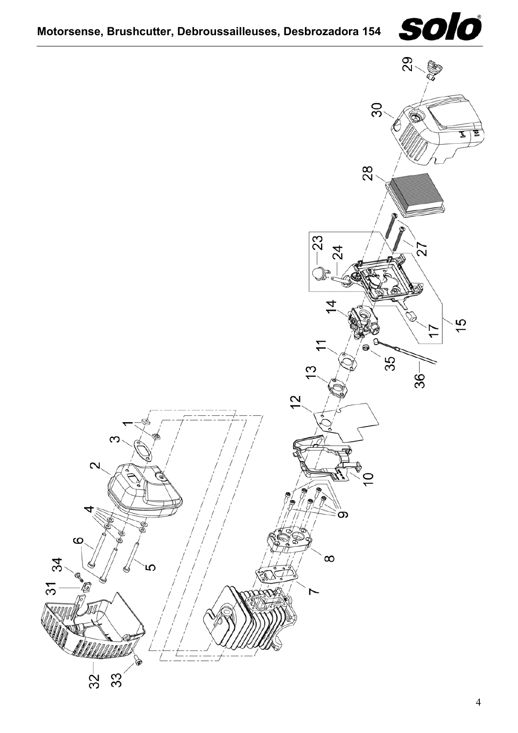

<span id="page-3-0"></span>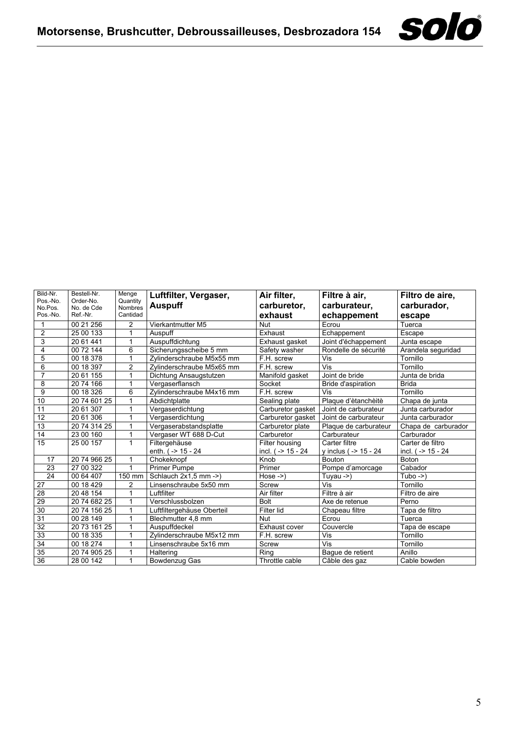

| Bild-Nr.<br>Pos.-No.<br>No.Pos.<br>Pos.-No. | Bestell-Nr.<br>Order-No.<br>No. de Cde<br>Ref.-Nr. | Menge<br>Quantity<br><b>Nombres</b><br>Cantidad | Luftfilter, Vergaser,<br><b>Auspuff</b> | Air filter,<br>carburetor,<br>exhaust | Filtre à air,<br>carburateur,<br>echappement | Filtro de aire,<br>carburador,<br>escape |
|---------------------------------------------|----------------------------------------------------|-------------------------------------------------|-----------------------------------------|---------------------------------------|----------------------------------------------|------------------------------------------|
|                                             | 00 21 256                                          | 2                                               | Vierkantmutter M5                       | <b>Nut</b>                            | Ecrou                                        | Tuerca                                   |
| $\overline{2}$                              | 25 00 133                                          | 1                                               | Auspuff                                 | Exhaust                               | Echappement                                  | Escape                                   |
| 3                                           | 20 61 441                                          | 1                                               | Auspuffdichtung                         | Exhaust gasket                        | Joint d'échappement                          | Junta escape                             |
| 4                                           | 00 72 144                                          | 6                                               | Sicherungsscheibe 5 mm                  | Safety washer                         | Rondelle de sécurité                         | Arandela seguridad                       |
| 5                                           | 00 18 378                                          |                                                 | Zvlinderschraube M5x55 mm               | F.H. screw                            | Vis                                          | Tornillo                                 |
| 6                                           | 00 18 397                                          | $\overline{2}$                                  | Zylinderschraube M5x65 mm               | F.H. screw                            | Vis                                          | Tornillo                                 |
| $\overline{7}$                              | 20 61 155                                          | 1                                               | Dichtung Ansaugstutzen                  | Manifold gasket                       | Joint de bride                               | Junta de brida                           |
| 8                                           | 20 74 166                                          |                                                 | Vergaserflansch                         | Socket                                | Bride d'aspiration                           | <b>Brida</b>                             |
| 9                                           | 00 18 326                                          | 6                                               | Zylinderschraube M4x16 mm               | F.H. screw                            | Vis                                          | Tornillo                                 |
| 10                                          | 20 74 601 25                                       | 1                                               | Abdichtplatte                           | Sealing plate                         | Plaque d'ètanchèitè                          | Chapa de junta                           |
| 11                                          | 20 61 307                                          | 1                                               | Vergaserdichtung                        | Carburetor gasket                     | Joint de carburateur                         | Junta carburador                         |
| $\overline{12}$                             | 20 61 306                                          | 1                                               | Vergaserdichtung                        | Carburetor gasket                     | Joint de carburateur                         | Junta carburador                         |
| $\overline{13}$                             | 20 74 314 25                                       | 1                                               | Vergaserabstandsplatte                  | Carburetor plate                      | Plaque de carburateur                        | Chapa de carburador                      |
| 14                                          | 23 00 160                                          | 1                                               | Vergaser WT 688 D-Cut                   | Carburetor                            | Carburateur                                  | Carburador                               |
| 15                                          | 25 00 157                                          | $\mathbf{1}$                                    | Filtergehäuse                           | Filter housing                        | Carter filtre                                | Carter de filtro                         |
|                                             |                                                    |                                                 | enth. $( -24)$                          | incl. ( $-$ 15 - 24                   | y inclus ( $-$ 15 - 24                       | incl. $( -2 15 - 24)$                    |
| 17                                          | 20 74 966 25                                       | 1                                               | Chokeknopf                              | Knob                                  | <b>Bouton</b>                                | Boton                                    |
| 23                                          | 27 00 322                                          | 1                                               | <b>Primer Pumpe</b>                     | Primer                                | Pompe d'amorcage                             | Cabador                                  |
| 24                                          | 00 64 407                                          | 150 mm                                          | Schlauch 2x1,5 mm ->)                   | $Hose \rightarrow$                    | Tuyau $-$                                    | $Tubo \rightarrow$                       |
| 27                                          | 00 18 429                                          | $\overline{2}$                                  | Linsenschraube 5x50 mm                  | Screw                                 | Vis                                          | Tornillo                                 |
| 28                                          | 20 48 154                                          | 1                                               | Luftfilter                              | Air filter                            | Filtre à air                                 | Filtro de aire                           |
| 29                                          | 20 74 682 25                                       | 1                                               | Verschlussbolzen                        | <b>Bolt</b>                           | Axe de retenue                               | Perno                                    |
| 30                                          | 20 74 156 25                                       | 1                                               | Luftfiltergehäuse Oberteil              | Filter lid                            | Chapeau filtre                               | Tapa de filtro                           |
| 31                                          | 00 28 149                                          | 1                                               | Blechmutter 4,8 mm                      | Nut                                   | Ecrou                                        | Tuerca                                   |
| 32                                          | 20 73 161 25                                       | 1                                               | Auspuffdeckel                           | Exhaust cover                         | Couvercle                                    | Tapa de escape                           |
| 33                                          | 00 18 335                                          | 1                                               | Zylinderschraube M5x12 mm               | F.H. screw                            | Vis                                          | Tornillo                                 |
| 34                                          | 00 18 274                                          | 1                                               | Linsenschraube 5x16 mm                  | Screw                                 | Vis                                          | Tornillo                                 |
| 35                                          | 20 74 905 25                                       | 1                                               | Haltering                               | Ring                                  | Bague de retient                             | Anillo                                   |
| $\overline{36}$                             | 28 00 142                                          | 1                                               | Bowdenzug Gas                           | Throttle cable                        | Câble des gaz                                | Cable bowden                             |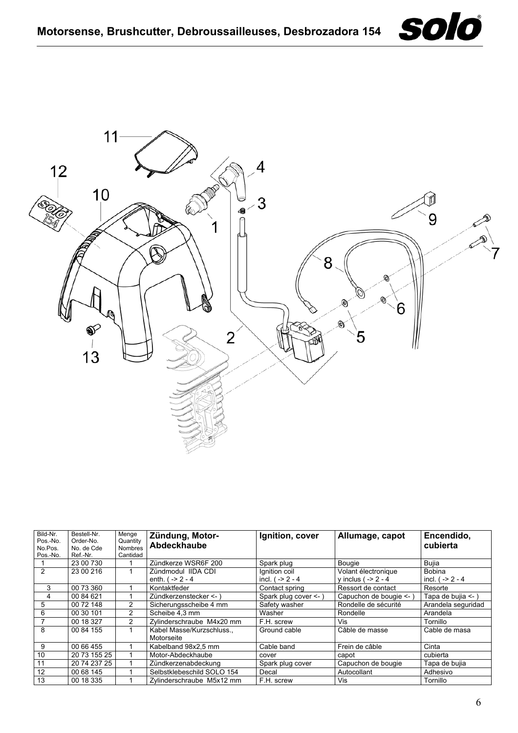<span id="page-5-0"></span>

| Bild-Nr. | Bestell-Nr.  | Menge          | Zündung, Motor-            | Ignition, cover       | Allumage, capot         | Encendido,         |
|----------|--------------|----------------|----------------------------|-----------------------|-------------------------|--------------------|
| Pos.-No. | Order-No.    | Quantity       | Abdeckhaube                |                       |                         | cubierta           |
| No.Pos.  | No. de Cde   | <b>Nombres</b> |                            |                       |                         |                    |
| Pos.-No. | Ref.-Nr.     | Cantidad       |                            |                       |                         |                    |
|          | 23 00 730    |                | Zündkerze WSR6F 200        | Spark plug            | <b>Bougie</b>           | <b>Buila</b>       |
| 2        | 23 00 216    |                | Zündmodul IIDA CDI         | Ignition coil         | Volant électronique     | <b>Bobina</b>      |
|          |              |                | enth. $( -2 - 4)$          | incl. $( -2 - 4)$     | y inclus ( $-2 - 4$     | incl. $( -2 - 4)$  |
| 3        | 00 73 360    |                | Kontaktfeder               | Contact spring        | Ressort de contact      | Resorte            |
| 4        | 00 84 621    |                | Zündkerzenstecker <- )     | Spark plug cover <- ) | Capuchon de bougie <- ) | Tapa de bujia <- ) |
| 5        | 00 72 148    | 2              | Sicherungsscheibe 4 mm     | Safety washer         | Rondelle de sécurité    | Arandela seguridad |
| 6        | 00 30 101    | $\overline{2}$ | Scheibe 4.3 mm             | Washer                | Rondelle                | Arandela           |
|          | 00 18 327    | $\overline{2}$ | Zvlinderschraube M4x20 mm  | F.H. screw            | Vis                     | Tornillo           |
| 8        | 00 84 155    |                | Kabel Masse/Kurzschluss    | Ground cable          | Câble de masse          | Cable de masa      |
|          |              |                | Motorseite                 |                       |                         |                    |
| 9        | 00 66 455    |                | Kabelband 98x2.5 mm        | Cable band            | Frein de câble          | Cinta              |
| 10       | 20 73 155 25 |                | Motor-Abdeckhaube          | cover                 | capot                   | cubierta           |
| 11       | 20 74 237 25 |                | Zündkerzenabdeckung        | Spark plug cover      | Capuchon de bougie      | Tapa de bujia      |
| 12       | 00 68 145    |                | Selbstklebeschild SOLO 154 | Decal                 | Autocollant             | Adhesivo           |
| 13       | 00 18 335    |                | Zylinderschraube M5x12 mm  | F.H. screw            | Vis                     | Tornillo           |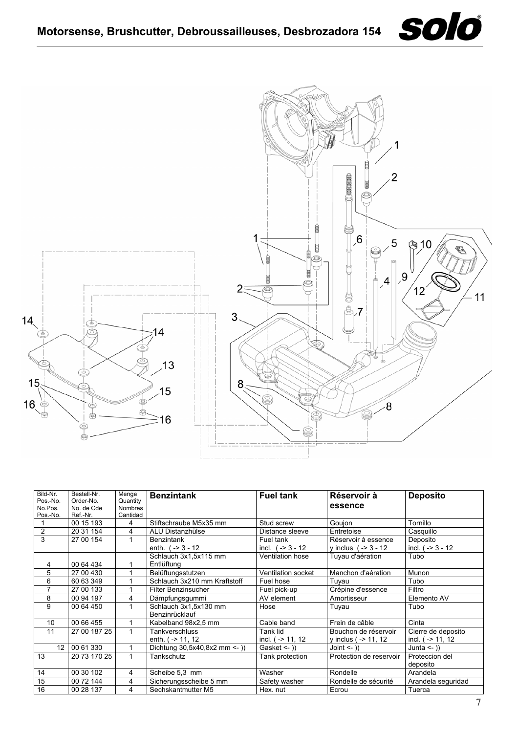<span id="page-6-0"></span>





| Bild-Nr.<br>Pos.-No.<br>No.Pos.<br>Pos.-No. | Bestell-Nr.<br>Order-No.<br>No. de Cde<br>Ref.-Nr. | Menge<br>Quantity<br><b>Nombres</b><br>Cantidad | <b>Benzintank</b>                       | <b>Fuel tank</b>                 | Réservoir à<br>essence                        | <b>Deposito</b>                            |
|---------------------------------------------|----------------------------------------------------|-------------------------------------------------|-----------------------------------------|----------------------------------|-----------------------------------------------|--------------------------------------------|
|                                             | 00 15 193                                          | 4                                               | Stiftschraube M5x35 mm                  | Stud screw                       | Goujon                                        | Tornillo                                   |
| $\overline{2}$                              | 20 31 154                                          | 4                                               | ALU Distanzhülse                        | Distance sleeve                  | Entretoise                                    | Casquillo                                  |
| 3                                           | 27 00 154                                          |                                                 | <b>Benzintank</b><br>enth. $(-3 - 12)$  | Fuel tank<br>incl. $(-3 - 12)$   | Réservoir à essence<br>y inclus $(-3 - 12)$   | Deposito<br>incl. $(-3 - 12)$              |
|                                             |                                                    |                                                 | Schlauch 3x1,5x115 mm                   | Ventilation hose                 | Tuyau d'aération                              | Tubo                                       |
| 4                                           | 00 64 434                                          |                                                 | Entlüftung                              |                                  |                                               |                                            |
| 5                                           | 27 00 430                                          |                                                 | Belüftungsstutzen                       | Ventilation socket               | Manchon d'aération                            | Munon                                      |
| 6                                           | 60 63 349                                          |                                                 | Schlauch 3x210 mm Kraftstoff            | Fuel hose                        | Tuyau                                         | Tubo                                       |
| 7                                           | 27 00 133                                          |                                                 | <b>Filter Benzinsucher</b>              | Fuel pick-up                     | Crépine d'essence                             | Filtro                                     |
| 8                                           | 00 94 197                                          | 4                                               | Dämpfungsgummi                          | AV element                       | Amortisseur                                   | Elemento AV                                |
| 9                                           | 00 64 450                                          |                                                 | Schlauch 3x1,5x130 mm<br>Benzinrücklauf | Hose                             | Tuyau                                         | Tubo                                       |
| 10                                          | 00 66 455                                          |                                                 | Kabelband 98x2,5 mm                     | Cable band                       | Frein de câble                                | Cinta                                      |
| 11                                          | 27 00 187 25                                       | 1                                               | Tankverschluss<br>enth. $( -2 11, 12)$  | Tank lid<br>incl. $( -2 11, 12)$ | Bouchon de réservoir<br>y inclus ( $-$ 11, 12 | Cierre de deposito<br>incl. $( -2 11, 12 $ |
| 12                                          | 00 61 330                                          | 1                                               | Dichtung $30,5x40,8x2$ mm <- ))         | Gasket $\leq$ $)$ )              | Joint $\leq$ $)$                              | Junta $\leftarrow$ )                       |
| 13                                          | 20 73 170 25                                       | $\mathbf{1}$                                    | Tankschutz                              | Tank protection                  | Protection de reservoir                       | Proteccion del<br>deposito                 |
| 14                                          | 00 30 102                                          | 4                                               | Scheibe 5,3 mm                          | Washer                           | Rondelle                                      | Arandela                                   |
| 15                                          | 00 72 144                                          | 4                                               | Sicherungsscheibe 5 mm                  | Safety washer                    | Rondelle de sécurité                          | Arandela seguridad                         |
| 16                                          | 00 28 137                                          | 4                                               | Sechskantmutter M5                      | Hex. nut                         | Ecrou                                         | Tuerca                                     |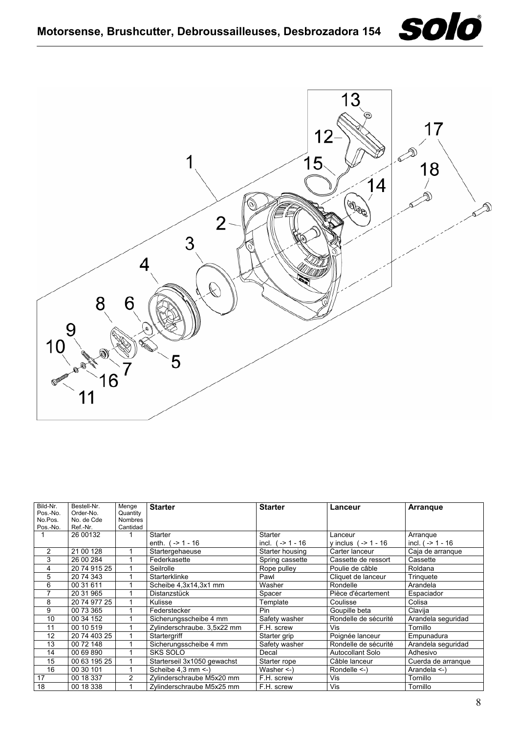

<span id="page-7-0"></span>

| Bild-Nr.<br>Pos.-No.<br>No.Pos.<br>Pos.-No. | Bestell-Nr.<br>Order-No.<br>No. de Cde<br>Ref.-Nr. | Menge<br>Quantity<br><b>Nombres</b><br>Cantidad | <b>Starter</b>              | <b>Starter</b>     | Lanceur                | <b>Arrangue</b>     |
|---------------------------------------------|----------------------------------------------------|-------------------------------------------------|-----------------------------|--------------------|------------------------|---------------------|
|                                             | 26 00132                                           |                                                 | Starter                     | Starter            | Lanceur                | Arrangue            |
|                                             |                                                    |                                                 | enth. $( -2 1 - 16$         | incl. $(-2 1 - 16$ | y inclus $(-2 1 - 16$  | incl. $( -2 1 - 16$ |
| 2                                           | 21 00 128                                          |                                                 | Startergehaeuse             | Starter housing    | Carter lanceur         | Caja de arrangue    |
| 3                                           | 26 00 284                                          |                                                 | Federkasette                | Spring cassette    | Cassette de ressort    | Cassette            |
| 4                                           | 20 74 915 25                                       |                                                 | Seilrolle                   | Rope pulley        | Poulie de câble        | Roldana             |
| 5                                           | 20 74 343                                          |                                                 | Starterklinke               | Pawl               | Cliquet de lanceur     | Tringuete           |
| 6                                           | 00 31 611                                          |                                                 | Scheibe 4,3x14,3x1 mm       | Washer             | Rondelle               | Arandela            |
| 7                                           | 20 31 965                                          |                                                 | Distanzstück                | Spacer             | Pièce d'écartement     | Espaciador          |
| 8                                           | 20 74 977 25                                       |                                                 | <b>Kulisse</b>              | Template           | Coulisse               | Colisa              |
| 9                                           | 00 73 365                                          |                                                 | Federstecker                | <b>Pin</b>         | Goupille beta          | Clavija             |
| 10                                          | 00 34 152                                          |                                                 | Sicherungsscheibe 4 mm      | Safety washer      | Rondelle de sécurité   | Arandela seguridad  |
| 11                                          | 00 10 519                                          |                                                 | Zylinderschraube. 3,5x22 mm | F.H. screw         | Vis                    | Tornillo            |
| 12                                          | 20 74 403 25                                       |                                                 | Startergriff                | Starter grip       | Poignée lanceur        | Empunadura          |
| 13                                          | 00 72 148                                          |                                                 | Sicherungsscheibe 4 mm      | Safety washer      | Rondelle de sécurité   | Arandela seguridad  |
| 14                                          | 00 69 890                                          |                                                 | <b>SKS SOLO</b>             | Decal              | Autocollant Solo       | Adhesivo            |
| 15                                          | 00 63 195 25                                       |                                                 | Starterseil 3x1050 gewachst | Starter rope       | Câble lanceur          | Cuerda de arranque  |
| 16                                          | 00 30 101                                          |                                                 | Scheibe 4,3 mm <- )         | Washer $\leq$ -)   | Rondelle $\le$ - $\le$ | Arandela $\leq$ -)  |
| 17                                          | 00 18 337                                          | 2                                               | Zylinderschraube M5x20 mm   | F.H. screw         | Vis                    | Tornillo            |
| 18                                          | 00 18 338                                          |                                                 | Zylinderschraube M5x25 mm   | F.H. screw         | Vis                    | Tornillo            |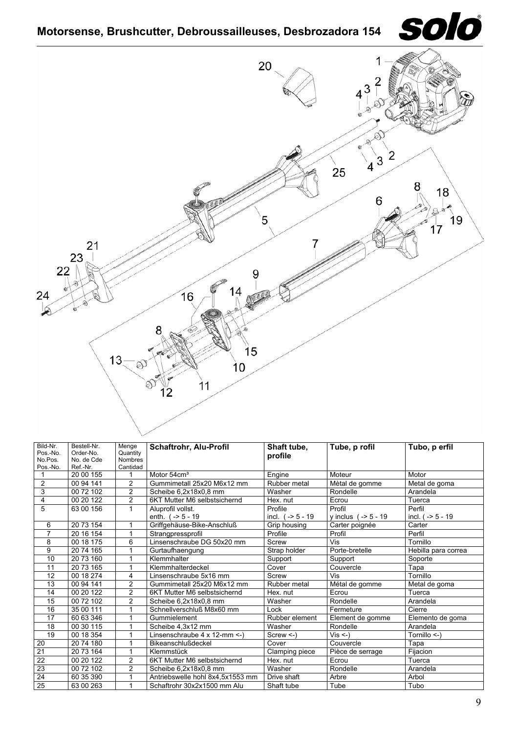

<span id="page-8-0"></span>

| Bild-Nr.<br>Pos.-No.<br>No.Pos.<br>Pos.-No. | Bestell-Nr.<br>Order-No.<br>No. de Cde<br>Ref.-Nr. | Menge<br>Quantity<br><b>Nombres</b><br>Cantidad | <b>Schaftrohr, Alu-Profil</b>    | Shaft tube,<br>profile | Tube, p rofil        | Tubo, p erfil       |
|---------------------------------------------|----------------------------------------------------|-------------------------------------------------|----------------------------------|------------------------|----------------------|---------------------|
|                                             | 20 00 155                                          | 1                                               | Motor 54cm <sup>3</sup>          | Engine                 | Moteur               | Motor               |
| $\overline{2}$                              | 00 94 141                                          | $\overline{2}$                                  | Gummimetall 25x20 M6x12 mm       | Rubber metal           | Mètal de gomme       | Metal de goma       |
| 3                                           | 00 72 102                                          | $\overline{2}$                                  | Scheibe 6,2x18x0,8 mm            | Washer                 | Rondelle             | Arandela            |
| 4                                           | 00 20 122                                          | $\overline{2}$                                  | 6KT Mutter M6 selbstsichernd     | Hex. nut               | Ecrou                | Tuerca              |
| 5                                           | 63 00 156                                          | $\mathbf{1}$                                    | Aluprofil vollst.                | Profile                | Profil               | Perfil              |
|                                             |                                                    |                                                 | enth. $(-5 - 19)$                | incl. $(-5 - 19)$      | y inclus $(-5 - 19)$ | incl. $(-5 - 19)$   |
| 6                                           | 20 73 154                                          | 1                                               | Griffgehäuse-Bike-Anschluß       | Grip housing           | Carter poignée       | Carter              |
| $\overline{7}$                              | 20 16 154                                          | 1                                               | Strangpressprofil                | Profile                | Profil               | Perfil              |
| 8                                           | 00 18 175                                          | 6                                               | Linsenschraube DG 50x20 mm       | Screw                  | Vis                  | Tornillo            |
| 9                                           | 20 74 165                                          | 1                                               | Gurtaufhaengung                  | Strap holder           | Porte-bretelle       | Hebilla para correa |
| 10                                          | 20 73 160                                          | 1                                               | Klemmhalter                      | Support                | Support              | Soporte             |
| 11                                          | 20 73 165                                          | 1                                               | Klemmhalterdeckel                | Cover                  | Couvercle            | Tapa                |
| 12                                          | 00 18 274                                          | 4                                               | Linsenschraube 5x16 mm           | Screw                  | Vis                  | Tornillo            |
| 13                                          | 00 94 141                                          | $\overline{c}$                                  | Gummimetall 25x20 M6x12 mm       | Rubber metal           | Métal de gomme       | Metal de goma       |
| 14                                          | 00 20 122                                          | $\overline{2}$                                  | 6KT Mutter M6 selbstsichernd     | Hex. nut               | Ecrou                | Tuerca              |
| 15                                          | 00 72 102                                          | $\overline{c}$                                  | Scheibe 6,2x18x0,8 mm            | Washer                 | Rondelle             | Arandela            |
| 16                                          | 35 00 111                                          | 1                                               | Schnellverschluß M8x60 mm        | Lock                   | Fermeture            | Cierre              |
| 17                                          | 60 63 346                                          | 1                                               | Gummielement                     | Rubber element         | Element de gomme     | Elemento de goma    |
| 18                                          | 00 30 115                                          | 1                                               | Scheibe 4,3x12 mm                | Washer                 | Rondelle             | Arandela            |
| 19                                          | 00 18 354                                          | 1                                               | Linsenschraube 4 x 12-mm <- )    | $Screw < -$            | $Vis < -$            | Tornillo <-)        |
| 20                                          | 20 74 180                                          | 1                                               | Bikeanschlußdeckel               | Cover                  | Couvercle            | Tapa                |
| 21                                          | 20 73 164                                          | 1                                               | Klemmstück                       | Clamping piece         | Pièce de serrage     | Fijacion            |
| 22                                          | 00 20 122                                          | $\overline{c}$                                  | 6KT Mutter M6 selbstsichernd     | Hex. nut               | Ecrou                | Tuerca              |
| 23                                          | 00 72 102                                          | $\overline{c}$                                  | Scheibe 6,2x18x0,8 mm            | Washer                 | Rondelle             | Arandela            |
| 24                                          | 60 35 390                                          | 1                                               | Antriebswelle hohl 8x4.5x1553 mm | Drive shaft            | Arbre                | Arbol               |
| $\overline{25}$                             | 63 00 263                                          | 1                                               | Schaftrohr 30x2x1500 mm Alu      | Shaft tube             | Tube                 | Tubo                |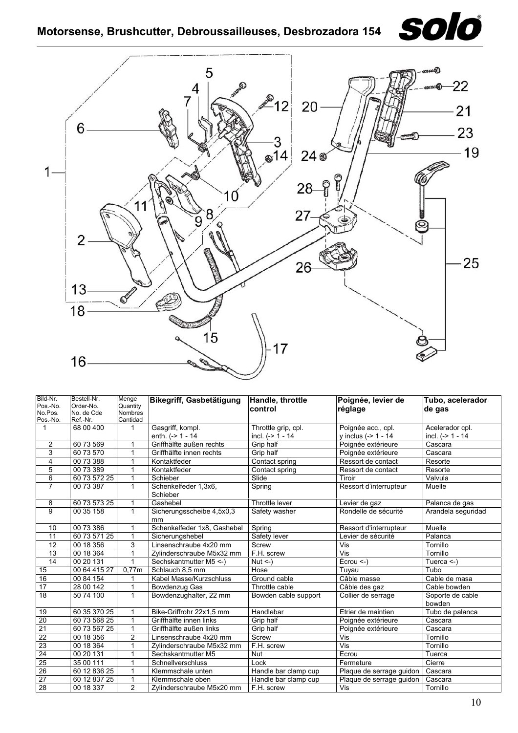<span id="page-9-0"></span>**Motorsense, Brushcutter, Debroussailleuses, Desbrozadora 154**





| Bild-Nr.            | Bestell-Nr.            | Menge                      | Bikegriff, Gasbetätigung         | Handle, throttle     | Poignée, levier de       | Tubo, acelerador           |
|---------------------|------------------------|----------------------------|----------------------------------|----------------------|--------------------------|----------------------------|
| Pos.-No.<br>No.Pos. | Order-No.              | Quantity<br><b>Nombres</b> |                                  | control              | réglage                  | de gas                     |
| Pos.-No.            | No. de Cde<br>Ref.-Nr. | Cantidad                   |                                  |                      |                          |                            |
| $\mathbf 1$         | 68 00 400              |                            | Gasgriff, kompl.                 | Throttle grip, cpl.  | Poignée acc., cpl.       | Acelerador cpl.            |
|                     |                        |                            | enth. $(-2)$ 1 - 14              | incl. $(-> 1 - 14$   | y inclus (-> 1 - 14      | incl. $(-> 1 - 14$         |
| 2                   | 60 73 569              |                            | Griffhälfte außen rechts         | Grip half            | Poignée extérieure       | Cascara                    |
| 3                   | 60 73 570              | 1                          | Griffhälfte innen rechts         | Grip half            | Poignée extérieure       | Cascara                    |
| 4                   | 00 73 388              |                            | Kontaktfeder                     | Contact spring       | Ressort de contact       | Resorte                    |
| 5                   | 00 73 389              |                            | Kontaktfeder                     | Contact spring       | Ressort de contact       | Resorte                    |
| 6                   | 60 73 572 25           | $\mathbf{1}$               | Schieber                         | Slide                | Tiroir                   | Valvula                    |
| $\overline{7}$      | 00 73 387              | $\mathbf{1}$               | Schenkelfeder 1,3x6,<br>Schieber | Spring               | Ressort d'interrupteur   | Muelle                     |
| 8                   | 60 73 573 25           | $\mathbf{1}$               | Gashebel                         | Throttle lever       | Levier de gaz            | Palanca de gas             |
| 9                   | 00 35 158              | $\mathbf{1}$               | Sicherungsscheibe 4,5x0,3<br>mm  | Safety washer        | Rondelle de sécurité     | Arandela seguridad         |
| 10                  | 00 73 386              | 1                          | Schenkelfeder 1x8, Gashebel      | Spring               | Ressort d'interrupteur   | Muelle                     |
| 11                  | 60 73 571 25           | 1                          | Sicherungshebel                  | Safety lever         | Levier de sécurité       | Palanca                    |
| 12                  | 00 18 356              | 3                          | Linsenschraube 4x20 mm           | Screw                | Vis                      | Tornillo                   |
| $\overline{13}$     | 00 18 364              |                            | Zylinderschraube M5x32 mm        | F.H. screw           | Vis                      | Tornillo                   |
| 14                  | 00 20 131              |                            | Sechskantmutter M5 <- )          | Nut $\leq$ -)        | $Écrou < -)$             | Tuerca $\leq$ )            |
| 15                  | 00 64 415 27           | 0.77m                      | Schlauch 8,5 mm                  | Hose                 | Tuyau                    | Tubo                       |
| 16                  | 00 84 154              |                            | Kabel Masse/Kurzschluss          | Ground cable         | Câble masse              | Cable de masa              |
| 17                  | 28 00 142              | 1                          | Bowdenzug Gas                    | Throttle cable       | Câble des gaz            | Cable bowden               |
| 18                  | 50 74 100              | $\mathbf{1}$               | Bowdenzughalter, 22 mm           | Bowden cable support | Collier de serrage       | Soporte de cable<br>bowden |
| 19                  | 60 35 370 25           |                            | Bike-Griffrohr 22x1,5 mm         | Handlebar            | Etrier de maintien       | Tubo de palanca            |
| $\overline{20}$     | 60 73 568 25           |                            | Griffhälfte innen links          | Grip half            | Poignée extérieure       | Cascara                    |
| $\overline{21}$     | 60 73 567 25           |                            | Griffhälfte außen links          | Grip half            | Poignée extérieure       | Cascara                    |
| $\overline{22}$     | 00 18 356              | $\overline{2}$             | Linsenschraube 4x20 mm           | Screw                | Vis                      | Tornillo                   |
| $\overline{23}$     | 00 18 364              |                            | Zylinderschraube M5x32 mm        | F.H. screw           | Vis                      | Tornillo                   |
| 24                  | 00 20 131              | 1                          | Sechskantmutter M5               | <b>Nut</b>           | Ecrou                    | Tuerca                     |
| 25                  | 35 00 111              | 1                          | Schnellverschluss                | Lock                 | Fermeture                | Cierre                     |
| 26                  | 60 12 836 25           | 1                          | Klemmschale unten                | Handle bar clamp cup | Plaque de serrage guidon | Cascara                    |
| 27                  | 60 12 837 25           | 1                          | Klemmschale oben                 | Handle bar clamp cup | Plaque de serrage guidon | Cascara                    |
| 28                  | 00 18 337              | 2                          | Zylinderschraube M5x20 mm        | F.H. screw           | Vis                      | Tornillo                   |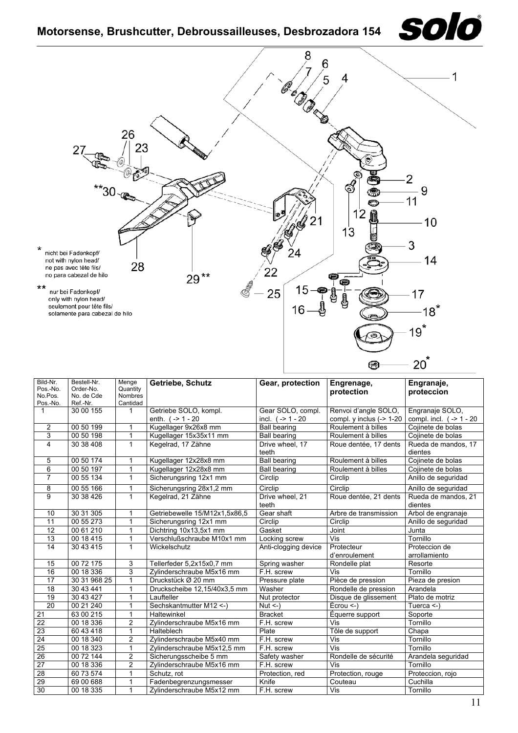<span id="page-10-0"></span>

| Bild-Nr.        | Bestell-Nr.  | Menge          |                               |                          |                                |                                |  |
|-----------------|--------------|----------------|-------------------------------|--------------------------|--------------------------------|--------------------------------|--|
| Pos.-No.        | Order-No.    | Quantity       | Getriebe, Schutz              | Gear, protection         | Engrenage,                     | Engranaje,                     |  |
| No.Pos.         | No. de Cde   | <b>Nombres</b> |                               |                          | protection                     | proteccion                     |  |
| Pos.-No.        | Ref.-Nr.     | Cantidad       |                               |                          |                                |                                |  |
| $\mathbf{1}$    | 30 00 155    | $\mathbf{1}$   | Getriebe SOLO, kompl.         | Gear SOLO, compl.        | Renvoi d'angle SOLO,           | Engranaje SOLO,                |  |
|                 |              |                | enth. $(-20)$                 | incl. $(-2) - 20$        | compl. $y$ inclus $(-2 1 - 20$ | compl. incl. $(-2)$ 1 - 20     |  |
| $\overline{2}$  | 00 50 199    | 1              | Kugellager 9x26x8 mm          | <b>Ball bearing</b>      | Roulement à billes             | Cojinete de bolas              |  |
| $\overline{3}$  | 00 50 198    | 1              | Kugellager 15x35x11 mm        | <b>Ball bearing</b>      | Roulement à billes             | Cojinete de bolas              |  |
| 4               | 30 38 408    | 1              | Kegelrad, 17 Zähne            | Drive wheel, 17<br>teeth | Roue dentée, 17 dents          | Rueda de mandos, 17<br>dientes |  |
| 5               | 00 50 174    | 1              | Kugellager 12x28x8 mm         | <b>Ball bearing</b>      | Roulement à billes             | Cojinete de bolas              |  |
| 6               | 00 50 197    | 1              | Kugellager 12x28x8 mm         | <b>Ball bearing</b>      | Roulement à billes             | Cojinete de bolas              |  |
| $\overline{7}$  | 00 55 134    | $\mathbf{1}$   | Sicherungsring 12x1 mm        | Circlip                  | Circlip                        | Anillo de seguridad            |  |
| 8               | 00 55 166    | 1              | Sicherungsring 28x1,2 mm      | Circlip                  | Circlip                        | Anillo de seguridad            |  |
| 9               | 30 38 4 26   | 1              | Kegelrad, 21 Zähne            | Drive wheel, 21<br>teeth | Roue dentée, 21 dents          | Rueda de mandos, 21<br>dientes |  |
| 10              | 30 31 305    | 1              | Getriebewelle 15/M12x1.5x86.5 | Gear shaft               | Arbre de transmission          | Arbol de engranaje             |  |
| 11              | 00 55 273    | 1              | Sicherungsring 12x1 mm        | Circlip                  | Circlip                        | Anillo de seguridad            |  |
| 12              | 0061210      | 1              | Dichtring 10x13,5x1 mm        | Gasket                   | Joint                          | Junta                          |  |
| 13              | 00 18 415    | 1              | Verschlußschraube M10x1 mm    | Locking screw            | Vis                            | Tornillo                       |  |
| 14              | 30 43 415    | 1              | Wickelschutz                  | Anti-clogging device     | Protecteur                     | Proteccion de                  |  |
|                 |              |                |                               |                          | d'enroulement                  | arrollamiento                  |  |
| 15              | 00 72 175    | 3              | Tellerfeder 5,2x15x0,7 mm     | Spring washer            | Rondelle plat                  | Resorte                        |  |
| 16              | 00 18 336    | 3              | Zylinderschraube M5x16 mm     | F.H. screw               | <b>Vis</b>                     | Tornillo                       |  |
| 17              | 30 31 968 25 | 1              | Druckstück Ø 20 mm            | Pressure plate           | Pièce de pression              | Pieza de presion               |  |
| 18              | 30 43 441    | 1              | Druckscheibe 12,15/40x3,5 mm  | Washer                   | Rondelle de pression           | Arandela                       |  |
| 19              | 30 43 427    | 1              | Laufteller                    | Nut protector            | Disque de glissement           | Plato de motriz                |  |
| 20              | 00 21 240    | 1              | Sechskantmutter M12 <- )      | $Nut < -$ )              | $Écrou < -$                    | Tuerca $\leq$ -)               |  |
| 21              | 63 00 215    | 1              | Haltewinkel                   | <b>Bracket</b>           | Équerre support                | Soporte                        |  |
| $\overline{22}$ | 00 18 336    | $\overline{c}$ | Zylinderschraube M5x16 mm     | F.H. screw               | Vis                            | Tornillo                       |  |
| $\overline{23}$ | 60 43 418    | 1              | Halteblech                    | Plate                    | Tôle de support                | Chapa                          |  |
| $\overline{24}$ | 00 18 340    | $\overline{c}$ | Zylinderschraube M5x40 mm     | F.H. screw               | Vis                            | Tornillo                       |  |
| 25              | 00 18 323    | 1              | Zylinderschraube M5x12,5 mm   | F.H. screw               | Vis                            | Tornillo                       |  |
| $\overline{26}$ | 00 72 144    | $\overline{2}$ | Sicherungsscheibe 5 mm        | Safety washer            | Rondelle de sécurité           | Arandela seguridad             |  |
| $\overline{27}$ | 00 18 336    | $\overline{2}$ | Zylinderschraube M5x16 mm     | F.H. screw               | Vis                            | Tornillo                       |  |
| $\overline{28}$ | 60 73 574    | 1              | Schutz, rot                   | Protection, red          | Protection, rouge              | Proteccion, rojo               |  |
| 29              | 69 00 688    | 1              | Fadenbegrenzungsmesser        | Knife                    | Couteau                        | Cuchilla                       |  |
| 30              | 00 18 335    | 1              | Zylinderschraube M5x12 mm     | F.H. screw               | Vis                            | Tornillo                       |  |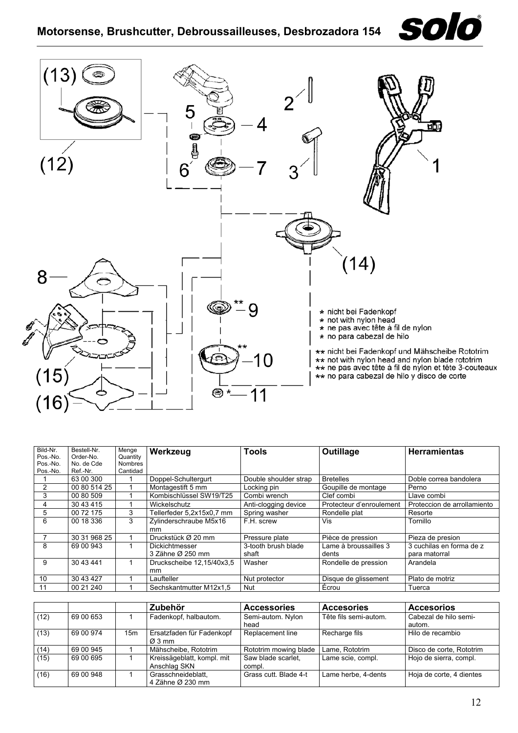

<span id="page-11-0"></span>

| Bild-Nr. | Bestell-Nr.  | Menge          | Werkzeug                  | <b>Tools</b>          | Outillage                | <b>Herramientas</b>         |
|----------|--------------|----------------|---------------------------|-----------------------|--------------------------|-----------------------------|
| Pos.-No. | Order-No.    | Quantity       |                           |                       |                          |                             |
| Pos.-No. | No. de Cde   | <b>Nombres</b> |                           |                       |                          |                             |
| Pos.-No. | Ref.-Nr.     | Cantidad       |                           |                       |                          |                             |
|          | 63 00 300    |                | Doppel-Schultergurt       | Double shoulder strap | <b>Bretelles</b>         | Doble correa bandolera      |
|          | 00 80 514 25 |                | Montagestift 5 mm         | Locking pin           | Goupille de montage      | Perno                       |
| 3        | 00 80 509    |                | Kombischlüssel SW19/T25   | Combi wrench          | Clef combi               | Llave combi                 |
| 4        | 30 43 415    |                | Wickelschutz              | Anti-clogging device  | Protecteur d'enroulement | Proteccion de arrollamiento |
| 5        | 00 72 175    | 3              | Tellerfeder 5,2x15x0,7 mm | Spring washer         | Rondelle plat            | Resorte                     |
| 6        | 00 18 336    | 3              | Zylinderschraube M5x16    | F.H. screw            | Vis                      | Tornillo                    |
|          |              |                | mm                        |                       |                          |                             |
|          | 30 31 968 25 |                | Druckstück Ø 20 mm        | Pressure plate        | Pièce de pression        | Pieza de presion            |
| 8        | 69 00 943    |                | Dickichtmesser            | 3-tooth brush blade   | Lame à broussailles 3    | 3 cuchilas en forma de z    |
|          |              |                | 3 Zähne Ø 250 mm          | shaft                 | dents                    | para matorral               |
| 9        | 30 43 441    |                | Druckscheibe 12,15/40x3.5 | Washer                | Rondelle de pression     | Arandela                    |
|          |              |                | mm                        |                       |                          |                             |
| 10       | 30 43 427    |                | Laufteller                | Nut protector         | Disque de glissement     | Plato de motriz             |
| -11      | 00 21 240    |                | Sechskantmutter M12x1.5   | Nut                   | Écrou                    | Tuerca                      |

|      |           |                 | Zubehör                                    | <b>Accessories</b>           | <b>Accesories</b>     | <b>Accesorios</b>               |
|------|-----------|-----------------|--------------------------------------------|------------------------------|-----------------------|---------------------------------|
| (12) | 69 00 653 |                 | Fadenkopf, halbautom.                      | Semi-autom. Nylon<br>head    | Tête fils semi-autom. | Cabezal de hilo semi-<br>autom. |
| (13) | 69 00 974 | 15 <sub>m</sub> | Ersatzfaden für Fadenkopf<br>Ø 3 mm        | Replacement line             | Recharge fils         | Hilo de recambio                |
| (14) | 69 00 945 |                 | Mähscheibe, Rototrim                       | Rototrim mowing blade        | Lame, Rototrim        | Disco de corte, Rototrim        |
| (15) | 69 00 695 |                 | Kreissägeblatt, kompl. mit<br>Anschlag SKN | Saw blade scarlet.<br>compl. | Lame scie, compl.     | Hojo de sierra, compl.          |
| (16) | 69 00 948 |                 | Grasschneideblatt.<br>4 Zähne Ø 230 mm     | Grass cutt. Blade 4-t        | Lame herbe, 4-dents   | Hoja de corte, 4 dientes        |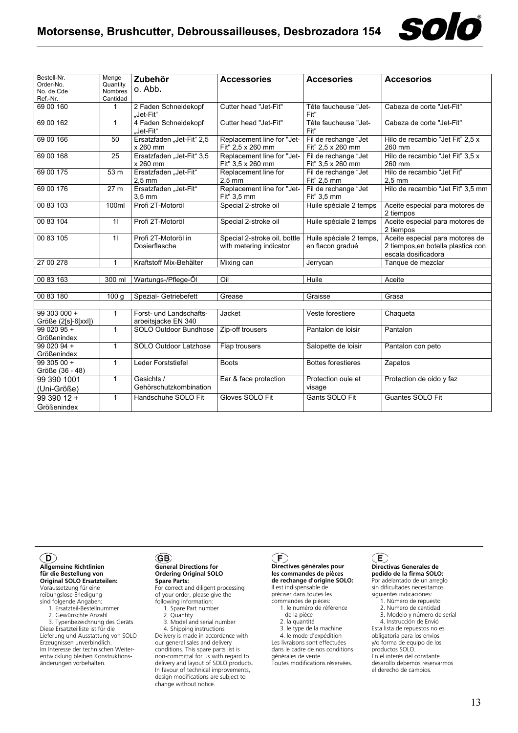

| Bestell-Nr.<br>Order-No.            | Menge<br>Quantity | Zubehör                                        | <b>Accessories</b>                                      | <b>Accesories</b>                           | <b>Accesorios</b>                                                                            |
|-------------------------------------|-------------------|------------------------------------------------|---------------------------------------------------------|---------------------------------------------|----------------------------------------------------------------------------------------------|
| No. de Cde                          | <b>Nombres</b>    | o. Abb.                                        |                                                         |                                             |                                                                                              |
| Ref.-Nr.                            | Cantidad          |                                                |                                                         |                                             |                                                                                              |
| 69 00 160                           | 1                 | 2 Faden Schneidekopf<br>"Jet-Fit"              | Cutter head "Jet-Fit"                                   | Tête faucheuse "Jet-<br>Fit"                | Cabeza de corte "Jet-Fit"                                                                    |
| 69 00 162                           | $\mathbf{1}$      | 4 Faden Schneidekopf<br>"Jet-Fit"              | Cutter head "Jet-Fit"                                   | Tête faucheuse "Jet-<br>Fit"                | Cabeza de corte "Jet-Fit"                                                                    |
| 69 00 166                           | 50                | Ersatzfaden "Jet-Fit" 2,5<br>x 260 mm          | Replacement line for "Jet-<br>Fit" 2,5 x 260 mm         | Fil de rechange "Jet<br>Fit" 2.5 x 260 mm   | Hilo de recambio "Jet Fit" 2,5 x<br>260 mm                                                   |
| 69 00 168                           | 25                | Ersatzfaden "Jet-Fit" 3,5<br>x 260 mm          | Replacement line for "Jet-<br>Fit" 3.5 x 260 mm         | Fil de rechange "Jet<br>Fit" 3,5 x 260 mm   | Hilo de recambio "Jet Fit" 3,5 x<br>260 mm                                                   |
| 69 00 175                           | 53 m              | Ersatzfaden "Jet-Fit"<br>$2.5 \text{ mm}$      | Replacement line for<br>$2.5$ mm                        | Fil de rechange "Jet<br>Fit" 2,5 mm         | Hilo de recambio "Jet Fit"<br>$2.5$ mm                                                       |
| 69 00 176                           | 27 <sub>m</sub>   | Ersatzfaden "Jet-Fit"<br>$3.5$ mm              | Replacement line for "Jet-<br>Fit" 3.5 mm               | Fil de rechange "Jet<br>Fit" 3,5 mm         | Hilo de recambio "Jet Fit" 3,5 mm                                                            |
| 00 83 103                           | 100ml             | Profi 2T-Motoröl                               | Special 2-stroke oil                                    | Huile spéciale 2 temps                      | Aceite especial para motores de<br>2 tiempos                                                 |
| 00 83 104                           | $\overline{1}$    | Profi 2T-Motoröl                               | Special 2-stroke oil                                    | Huile spéciale 2 temps                      | Aceite especial para motores de<br>2 tiempos                                                 |
| 00 83 105                           | 11                | Profi 2T-Motoröl in<br>Dosierflasche           | Special 2-stroke oil, bottle<br>with metering indicator | Huile spéciale 2 temps,<br>en flacon gradué | Aceite especial para motores de<br>2 tiempos, en botella plastica con<br>escala dosificadora |
| 27 00 278                           | 1                 | Kraftstoff Mix-Behälter                        | Mixing can                                              | Jerrycan                                    | Tanque de mezclar                                                                            |
|                                     |                   |                                                |                                                         |                                             |                                                                                              |
| 00 83 163                           | 300 ml            | Wartungs-/Pflege-Öl                            | Oil                                                     | Huile                                       | Aceite                                                                                       |
|                                     |                   |                                                |                                                         |                                             |                                                                                              |
| 00 83 180                           | 100q              | Spezial- Getriebefett                          | Grease                                                  | Graisse                                     | Grasa                                                                                        |
|                                     |                   |                                                |                                                         |                                             |                                                                                              |
| 99 303 000 +<br>Größe (2[s]-6[xxl]) | 1                 | Forst- und Landschafts-<br>arbeitsjacke EN 340 | Jacket                                                  | Veste forestiere                            | Chaqueta                                                                                     |
| $9902095 +$<br>Größenindex          | $\mathbf{1}$      | SOLO Outdoor Bundhose                          | Zip-off trousers                                        | Pantalon de loisir                          | Pantalon                                                                                     |
| 99 020 94 +<br>Größenindex          | 1                 | SOLO Outdoor Latzhose                          | Flap trousers                                           | Salopette de loisir                         | Pantalon con peto                                                                            |
| $9930500 +$<br>Größe (36 - 48)      | $\mathbf{1}$      | Leder Forststiefel                             | <b>Boots</b>                                            | <b>Bottes forestieres</b>                   | Zapatos                                                                                      |
| 99 390 1001<br>(Uni-Größe)          | $\mathbf{1}$      | Gesichts /<br>Gehörschutzkombination           | Ear & face protection                                   | Protection ouie et<br>visage                | Protection de oido y faz                                                                     |
| 99 390 12 +<br>Größenindex          | $\mathbf{1}$      | Handschuhe SOLO Fit                            | Gloves SOLO Fit                                         | Gants SOLO Fit                              | Guantes SOLO Fit                                                                             |

### <span id="page-12-0"></span> $\mathbf{D}$

### **Allgemeine Richtlinien für die Bestellung von Original SOLO Ersatzteilen:**

Voraussetzung für eine reibungslose Erledigung

sind folgende Angaben: 1. Ersatzteil-Bestellnummer

2. Gewünschte Anzahl

 3. Typenbezeichnung des Geräts Diese Ersatzteilliste ist für die Lieferung und Ausstattung von SOLO Erzeugnissen unverbindlich. Im Interesse der technischen Weiterentwicklung bleiben Konstruktionsänderungen vorbehalten.

#### <span id="page-12-1"></span>**GB General Directions for Ordering Original SOLO Spare Parts:**

For correct and diligent processing of your order, please give the following information:

- 1. Spare Part number
- 2. Quantity
- 3. Model and serial number

 4. Shipping instructions Delivery is made in accordance with our general sales and delivery conditions. This spare parts list is non-committal for us with regard to delivery and layout of SOLO products. In favour of technical improvements, design modifications are subject to change without notice.

### <span id="page-12-2"></span> $(F)$

#### **Directives générales pour les commandes de pièces de rechange d'origine SOLO:**

Il est indispensable de préciser dans toutes les commandes de pièces:

- 1. le numéro de référence de la pièce
- 2. la quantité
- 3. le type de la machine 4. le mode d'expédition

Les livraisons sont effectuées dans le cadre de nos conditions

générales de vente. Toutes modifications réservées.

### <span id="page-12-3"></span> $\left(\mathsf{E}\right)$

### **Directivas Generales de pedido de la firma SOLO:**

Por adelantado de un arreglo sin dificultades necesitamos siguientes indicaciónes:

- 1. Número de repuesto
- 2. Numero de cantidad 3. Modelo y número de serial
- 4. Instrucción de Envió

Esta lista de repuestos no es obligatoria para los envios y/o forma de equipo de los productos SOLO. En el interés del constante desarollo debemos reservarmos el derecho de cambios.